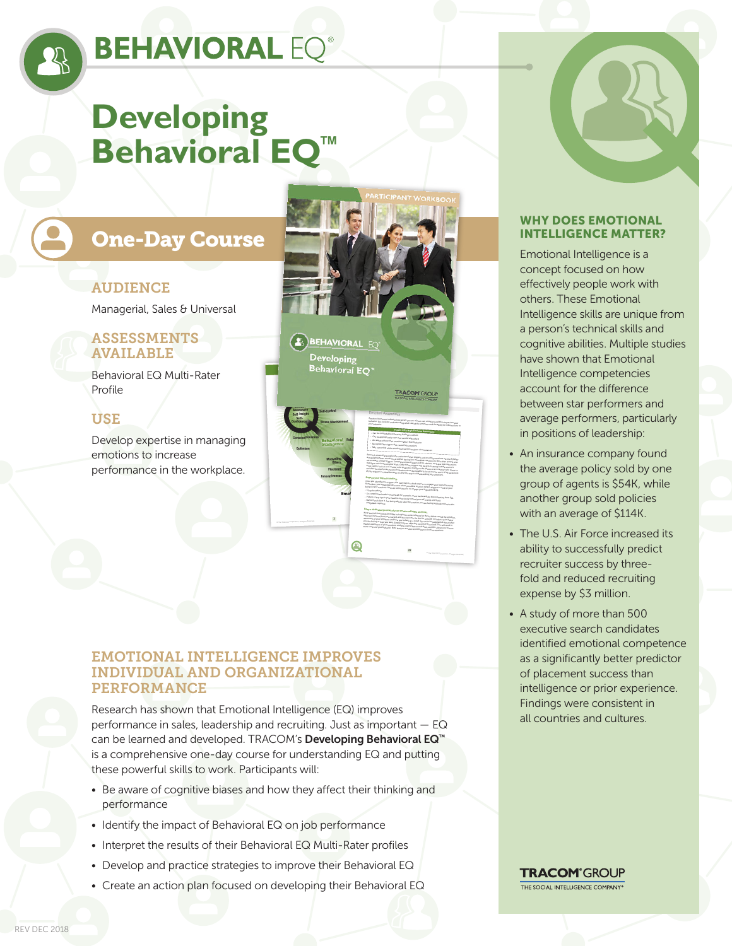# **BEHAVIORAL EQ®**

# **Developing Behavioral EQ™**

# One-Day Course

## AUDIENCE

Managerial, Sales & Universal

### ASSESSMENTS AVAILABLE

Behavioral EQ Multi-Rater Profile

## USE

Develop expertise in managing emotions to increase performance in the workplace.



### EMOTIONAL INTELLIGENCE IMPROVES INDIVIDUAL AND ORGANIZATIONAL PERFORMANCE

Research has shown that Emotional Intelligence (EQ) improves performance in sales, leadership and recruiting. Just as important — EQ can be learned and developed. TRACOM's Developing Behavioral EQ™ is a comprehensive one-day course for understanding EQ and putting these powerful skills to work. Participants will:

- Be aware of cognitive biases and how they affect their thinking and performance
- Identify the impact of Behavioral EQ on job performance
- Interpret the results of their Behavioral EQ Multi-Rater profiles
- Develop and practice strategies to improve their Behavioral EQ
- Create an action plan focused on developing their Behavioral EQ

#### WHY DOES EMOTIONAL INTELLIGENCE MATTER?

Emotional Intelligence is a concept focused on how effectively people work with others. These Emotional Intelligence skills are unique from a person's technical skills and cognitive abilities. Multiple studies have shown that Emotional Intelligence competencies account for the difference between star performers and average performers, particularly in positions of leadership:

- An insurance company found the average policy sold by one group of agents is \$54K, while another group sold policies with an average of \$114K.
- The U.S. Air Force increased its ability to successfully predict recruiter success by threefold and reduced recruiting expense by \$3 million.
- A study of more than 500 executive search candidates identified emotional competence as a significantly better predictor of placement success than intelligence or prior experience. Findings were consistent in all countries and cultures.

**TRACOM**<sup>®</sup>GROUP THE SOCIAL INTELLIGENCE COMPANY®

REV DEC 2018